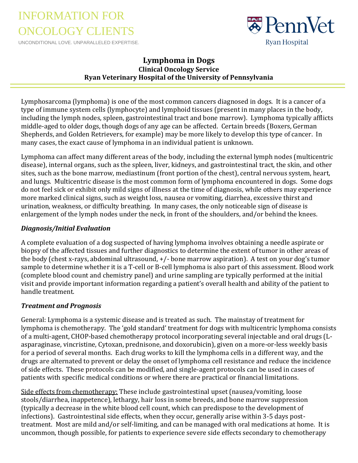## INFORMATION FOR ONCOLOGY CLIENTS

UNCONDITIONAL LOVE. UNPARALLELED EXPERTISE.



## **Lymphoma in Dogs Clinical Oncology Service Ryan Veterinary Hospital of the University of Pennsylvania**

Lymphosarcoma (lymphoma) is one of the most common cancers diagnosed in dogs. It is a cancer of a type of immune system cells (lymphocyte) and lymphoid tissues (present in many places in the body, including the lymph nodes, spleen, gastrointestinal tract and bone marrow). Lymphoma typically afflicts middle-aged to older dogs, though dogs of any age can be affected. Certain breeds (Boxers, German Shepherds, and Golden Retrievers, for example) may be more likely to develop this type of cancer. In many cases, the exact cause of lymphoma in an individual patient is unknown.

Lymphoma can affect many different areas of the body, including the external lymph nodes (multicentric disease), internal organs, such as the spleen, liver, kidneys, and gastrointestinal tract, the skin, and other sites, such as the bone marrow, mediastinum (front portion of the chest), central nervous system, heart, and lungs. Multicentric disease is the most common form of lymphoma encountered in dogs. Some dogs do not feel sick or exhibit only mild signs of illness at the time of diagnosis, while others may experience more marked clinical signs, such as weight loss, nausea or vomiting, diarrhea, excessive thirst and urination, weakness, or difficulty breathing. In many cases, the only noticeable sign of disease is enlargement of the lymph nodes under the neck, in front of the shoulders, and/or behind the knees.

## *Diagnosis/Initial Evaluation*

A complete evaluation of a dog suspected of having lymphoma involves obtaining a needle aspirate or biopsy of the affected tissues and further diagnostics to determine the extent of tumor in other areas of the body (chest x-rays, abdominal ultrasound, +/- bone marrow aspiration). A test on your dog's tumor sample to determine whether it is a T-cell or B-cell lymphoma is also part of this assessment. Blood work (complete blood count and chemistry panel) and urine sampling are typically performed at the initial visit and provide important information regarding a patient's overall health and ability of the patient to handle treatment.

## *Treatment and Prognosis*

General: Lymphoma is a systemic disease and is treated as such. The mainstay of treatment for lymphoma is chemotherapy. The 'gold standard' treatment for dogs with multicentric lymphoma consists of a multi-agent, CHOP-based chemotherapy protocol incorporating several injectable and oral drugs (Lasparaginase, vincristine, Cytoxan, prednisone, and doxorubicin), given on a more-or-less weekly basis for a period of several months. Each drug works to kill the lymphoma cells in a different way, and the drugs are alternated to prevent or delay the onset of lymphoma cell resistance and reduce the incidence of side effects. These protocols can be modified, and single-agent protocols can be used in cases of patients with specific medical conditions or where there are practical or financial limitations.

Side effects from chemotherapy: These include gastrointestinal upset (nausea/vomiting, loose stools/diarrhea, inappetence), lethargy, hair loss in some breeds, and bone marrow suppression (typically a decrease in the white blood cell count, which can predispose to the development of infections). Gastrointestinal side effects, when they occur, generally arise within 3-5 days posttreatment. Most are mild and/or self-limiting, and can be managed with oral medications at home. It is uncommon, though possible, for patients to experience severe side effects secondary to chemotherapy